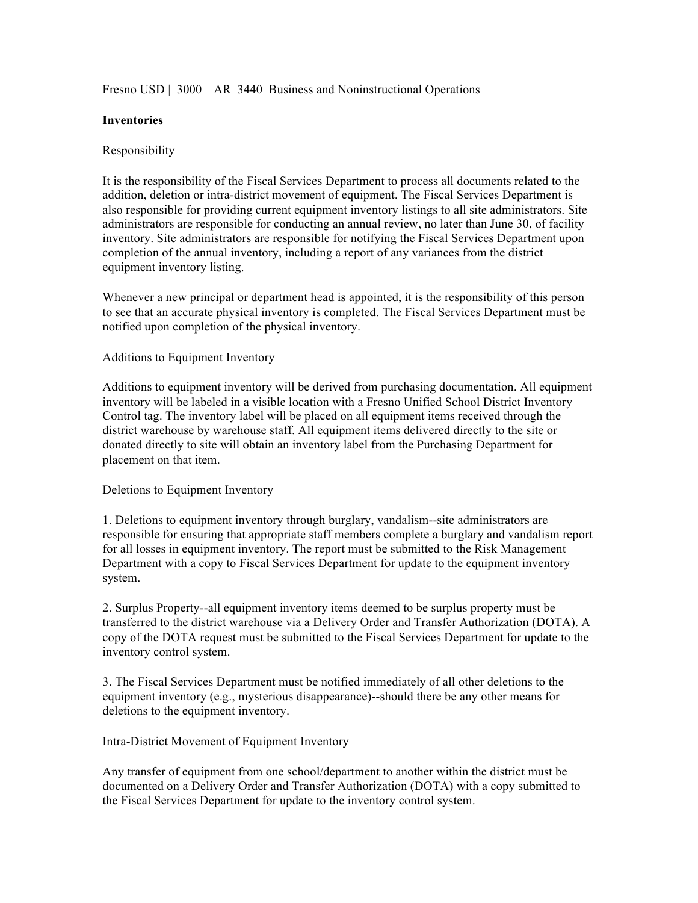Fresno USD | 3000 | AR 3440 Business and Noninstructional Operations

## **Inventories**

## Responsibility

It is the responsibility of the Fiscal Services Department to process all documents related to the addition, deletion or intra-district movement of equipment. The Fiscal Services Department is also responsible for providing current equipment inventory listings to all site administrators. Site administrators are responsible for conducting an annual review, no later than June 30, of facility inventory. Site administrators are responsible for notifying the Fiscal Services Department upon completion of the annual inventory, including a report of any variances from the district equipment inventory listing.

Whenever a new principal or department head is appointed, it is the responsibility of this person to see that an accurate physical inventory is completed. The Fiscal Services Department must be notified upon completion of the physical inventory.

## Additions to Equipment Inventory

Additions to equipment inventory will be derived from purchasing documentation. All equipment inventory will be labeled in a visible location with a Fresno Unified School District Inventory Control tag. The inventory label will be placed on all equipment items received through the district warehouse by warehouse staff. All equipment items delivered directly to the site or donated directly to site will obtain an inventory label from the Purchasing Department for placement on that item.

# Deletions to Equipment Inventory

1. Deletions to equipment inventory through burglary, vandalism--site administrators are responsible for ensuring that appropriate staff members complete a burglary and vandalism report for all losses in equipment inventory. The report must be submitted to the Risk Management Department with a copy to Fiscal Services Department for update to the equipment inventory system.

2. Surplus Property--all equipment inventory items deemed to be surplus property must be transferred to the district warehouse via a Delivery Order and Transfer Authorization (DOTA). A copy of the DOTA request must be submitted to the Fiscal Services Department for update to the inventory control system.

3. The Fiscal Services Department must be notified immediately of all other deletions to the equipment inventory (e.g., mysterious disappearance)--should there be any other means for deletions to the equipment inventory.

### Intra-District Movement of Equipment Inventory

Any transfer of equipment from one school/department to another within the district must be documented on a Delivery Order and Transfer Authorization (DOTA) with a copy submitted to the Fiscal Services Department for update to the inventory control system.